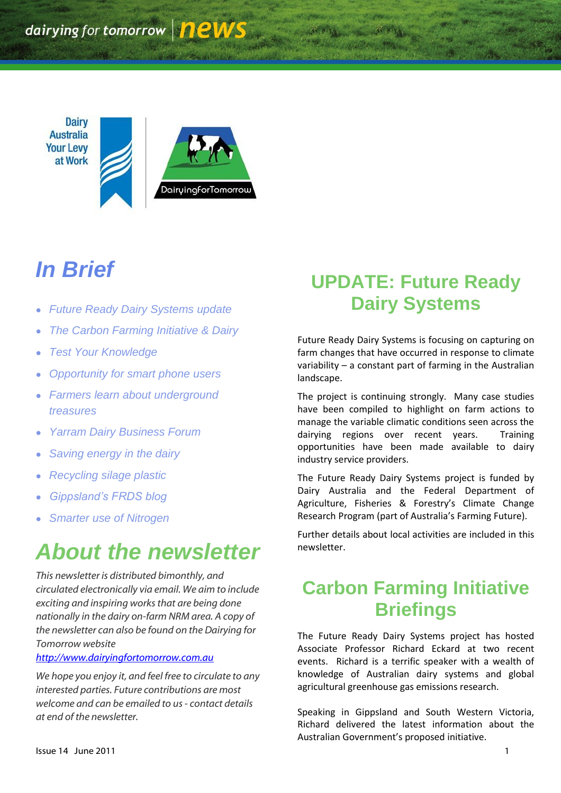**Dairy Australia Your Levy** at Work



# *In Brief*

- *Future Ready Dairy Systems update*
- *The Carbon Farming Initiative & Dairy*
- *Test Your Knowledge*
- *Opportunity for smart phone users*
- *Farmers learn about underground treasures*
- *Yarram Dairy Business Forum*
- *Saving energy in the dairy*
- *Recycling silage plastic*
- *Gippsland's FRDS blog*
- *Smarter use of Nitrogen*

# *About the newsletter*

*This newsletter is distributed bimonthly, and circulated electronically via email. We aim to include exciting and inspiring works that are being done nationally in the dairy on-farm NRM area. A copy of the newsletter can also be found on the Dairying for Tomorrow website* 

#### *[http://www.dairyingfortomorrow.com.au](http://www.dairyingfortomorrow.com.au/)*

*We hope you enjoy it, and feel free to circulate to any interested parties. Future contributions are most welcome and can be emailed to us- contact details at end of the newsletter.*

# **UPDATE: Future Ready Dairy Systems**

Future Ready Dairy Systems is focusing on capturing on farm changes that have occurred in response to climate variability – a constant part of farming in the Australian landscape.

The project is continuing strongly. Many case studies have been compiled to highlight on farm actions to manage the variable climatic conditions seen across the dairying regions over recent years. Training opportunities have been made available to dairy industry service providers.

The Future Ready Dairy Systems project is funded by Dairy Australia and the Federal Department of Agriculture, Fisheries & Forestry's Climate Change Research Program (part of Australia's Farming Future).

Further details about local activities are included in this newsletter.

## **Carbon Farming Initiative Briefings**

The Future Ready Dairy Systems project has hosted Associate Professor Richard Eckard at two recent events. Richard is a terrific speaker with a wealth of knowledge of Australian dairy systems and global agricultural greenhouse gas emissions research.

Speaking in Gippsland and South Western Victoria, Richard delivered the latest information about the Australian Government's proposed initiative.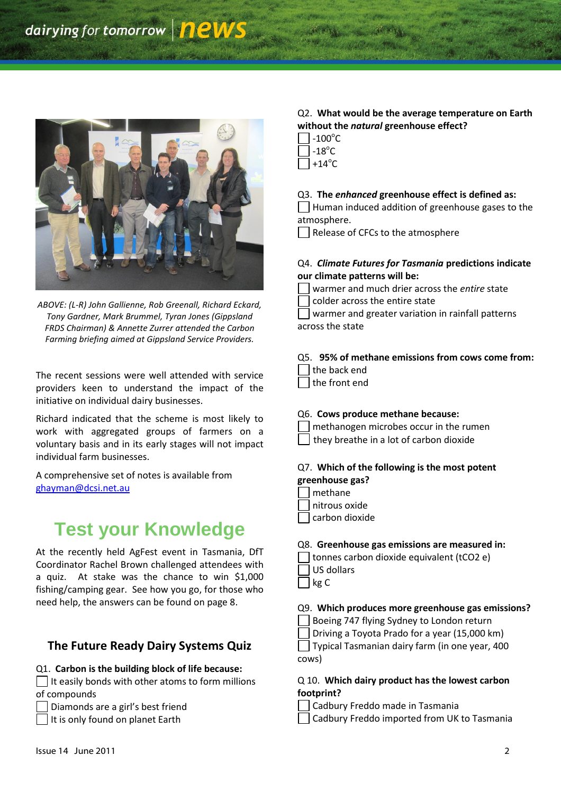

*ABOVE: (L-R) John Gallienne, Rob Greenall, Richard Eckard, Tony Gardner, Mark Brummel, Tyran Jones (Gippsland FRDS Chairman) & Annette Zurrer attended the Carbon Farming briefing aimed at Gippsland Service Providers.*

The recent sessions were well attended with service providers keen to understand the impact of the initiative on individual dairy businesses.

Richard indicated that the scheme is most likely to work with aggregated groups of farmers on a voluntary basis and in its early stages will not impact individual farm businesses.

A comprehensive set of notes is available from [ghayman@dcsi.net.au](mailto:ghayman@dcsi.net.au)

## **Test your Knowledge**

At the recently held AgFest event in Tasmania, DfT Coordinator Rachel Brown challenged attendees with a quiz. At stake was the chance to win \$1,000 fishing/camping gear. See how you go, for those who need help, the answers can be found on page 8.

#### **The Future Ready Dairy Systems Quiz**

#### Q1. **Carbon is the building block of life because:**

 $\Box$  It easily bonds with other atoms to form millions of compounds

Diamonds are a girl's best friend

#### It is only found on planet Earth

#### Q2. **What would be the average temperature on Earth without the** *natural* **greenhouse effect?**

- $-100^{\circ}$ C
- $-18^{\circ}$ C
- +14 $^{\circ}$ C

#### Q3. **The** *enhanced* **greenhouse effect is defined as:**

Human induced addition of greenhouse gases to the atmosphere.

 $\vert \ \vert$  Release of CFCs to the atmosphere

#### Q4. *Climate Futures for Tasmania* **predictions indicate our climate patterns will be:**

- warmer and much drier across the *entire* state
- colder across the entire state

warmer and greater variation in rainfall patterns across the state

#### Q5. **95% of methane emissions from cows come from:**

- the back end the front end
- 

#### Q6. **Cows produce methane because:**

- methanogen microbes occur in the rumen
- they breathe in a lot of carbon dioxide

#### Q7. **Which of the following is the most potent greenhouse gas?**

- methane
- nitrous oxide
- carbon dioxide

#### Q8. **Greenhouse gas emissions are measured in:**

- | tonnes carbon dioxide equivalent (tCO2 e)
- US dollars
- kg C

#### Q9. **Which produces more greenhouse gas emissions?**

Boeing 747 flying Sydney to London return

Driving a Toyota Prado for a year (15,000 km)

Typical Tasmanian dairy farm (in one year, 400 cows)

#### Q 10. **Which dairy product has the lowest carbon footprint?**

- Cadbury Freddo made in Tasmania
- Cadbury Freddo imported from UK to Tasmania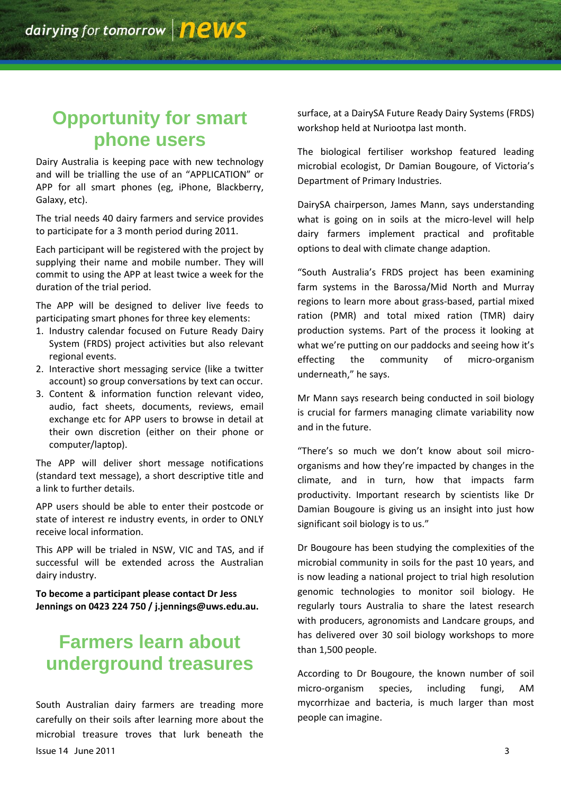## **Opportunity for smart phone users**

Dairy Australia is keeping pace with new technology and will be trialling the use of an "APPLICATION" or APP for all smart phones (eg, iPhone, Blackberry, Galaxy, etc).

The trial needs 40 dairy farmers and service provides to participate for a 3 month period during 2011.

Each participant will be registered with the project by supplying their name and mobile number. They will commit to using the APP at least twice a week for the duration of the trial period.

The APP will be designed to deliver live feeds to participating smart phones for three key elements:

- 1. Industry calendar focused on Future Ready Dairy System (FRDS) project activities but also relevant regional events.
- 2. Interactive short messaging service (like a twitter account) so group conversations by text can occur.
- 3. Content & information function relevant video, audio, fact sheets, documents, reviews, email exchange etc for APP users to browse in detail at their own discretion (either on their phone or computer/laptop).

The APP will deliver short message notifications (standard text message), a short descriptive title and a link to further details.

APP users should be able to enter their postcode or state of interest re industry events, in order to ONLY receive local information.

This APP will be trialed in NSW, VIC and TAS, and if successful will be extended across the Australian dairy industry.

**To become a participant please contact Dr Jess Jennings on 0423 224 750 / j.jennings@uws.edu.au.**

### **Farmers learn about underground treasures**

Issue 14 June 2011 3 South Australian dairy farmers are treading more carefully on their soils after learning more about the microbial treasure troves that lurk beneath the

surface, at a DairySA Future Ready Dairy Systems (FRDS) workshop held at Nuriootpa last month.

The biological fertiliser workshop featured leading microbial ecologist, Dr Damian Bougoure, of Victoria's Department of Primary Industries.

DairySA chairperson, James Mann, says understanding what is going on in soils at the micro-level will help dairy farmers implement practical and profitable options to deal with climate change adaption.

"South Australia's FRDS project has been examining farm systems in the Barossa/Mid North and Murray regions to learn more about grass-based, partial mixed ration (PMR) and total mixed ration (TMR) dairy production systems. Part of the process it looking at what we're putting on our paddocks and seeing how it's effecting the community of micro-organism underneath," he says.

Mr Mann says research being conducted in soil biology is crucial for farmers managing climate variability now and in the future.

"There's so much we don't know about soil microorganisms and how they're impacted by changes in the climate, and in turn, how that impacts farm productivity. Important research by scientists like Dr Damian Bougoure is giving us an insight into just how significant soil biology is to us."

Dr Bougoure has been studying the complexities of the microbial community in soils for the past 10 years, and is now leading a national project to trial high resolution genomic technologies to monitor soil biology. He regularly tours Australia to share the latest research with producers, agronomists and Landcare groups, and has delivered over 30 soil biology workshops to more than 1,500 people.

According to Dr Bougoure, the known number of soil micro-organism species, including fungi, AM mycorrhizae and bacteria, is much larger than most people can imagine.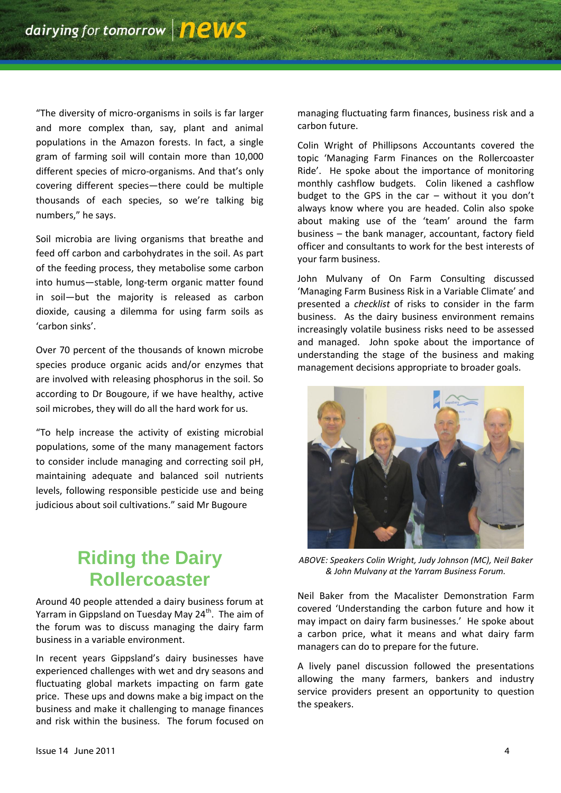"The diversity of micro-organisms in soils is far larger and more complex than, say, plant and animal populations in the Amazon forests. In fact, a single gram of farming soil will contain more than 10,000 different species of micro-organisms. And that's only covering different species—there could be multiple thousands of each species, so we're talking big numbers," he says.

Soil microbia are living organisms that breathe and feed off carbon and carbohydrates in the soil. As part of the feeding process, they metabolise some carbon into humus—stable, long-term organic matter found in soil—but the majority is released as carbon dioxide, causing a dilemma for using farm soils as 'carbon sinks'.

Over 70 percent of the thousands of known microbe species produce organic acids and/or enzymes that are involved with releasing phosphorus in the soil. So according to Dr Bougoure, if we have healthy, active soil microbes, they will do all the hard work for us.

"To help increase the activity of existing microbial populations, some of the many management factors to consider include managing and correcting soil pH, maintaining adequate and balanced soil nutrients levels, following responsible pesticide use and being judicious about soil cultivations." said Mr Bugoure

# **Riding the Dairy Rollercoaster**

Around 40 people attended a dairy business forum at Yarram in Gippsland on Tuesday May 24<sup>th</sup>. The aim of the forum was to discuss managing the dairy farm business in a variable environment.

In recent years Gippsland's dairy businesses have experienced challenges with wet and dry seasons and fluctuating global markets impacting on farm gate price. These ups and downs make a big impact on the business and make it challenging to manage finances and risk within the business. The forum focused on managing fluctuating farm finances, business risk and a carbon future.

Colin Wright of Phillipsons Accountants covered the topic 'Managing Farm Finances on the Rollercoaster Ride'. He spoke about the importance of monitoring monthly cashflow budgets. Colin likened a cashflow budget to the GPS in the car – without it you don't always know where you are headed. Colin also spoke about making use of the 'team' around the farm business – the bank manager, accountant, factory field officer and consultants to work for the best interests of your farm business.

John Mulvany of On Farm Consulting discussed 'Managing Farm Business Risk in a Variable Climate' and presented a *checklist* of risks to consider in the farm business. As the dairy business environment remains increasingly volatile business risks need to be assessed and managed. John spoke about the importance of understanding the stage of the business and making management decisions appropriate to broader goals.



*ABOVE: Speakers Colin Wright, Judy Johnson (MC), Neil Baker & John Mulvany at the Yarram Business Forum.*

Neil Baker from the Macalister Demonstration Farm covered 'Understanding the carbon future and how it may impact on dairy farm businesses.' He spoke about a carbon price, what it means and what dairy farm managers can do to prepare for the future.

A lively panel discussion followed the presentations allowing the many farmers, bankers and industry service providers present an opportunity to question the speakers.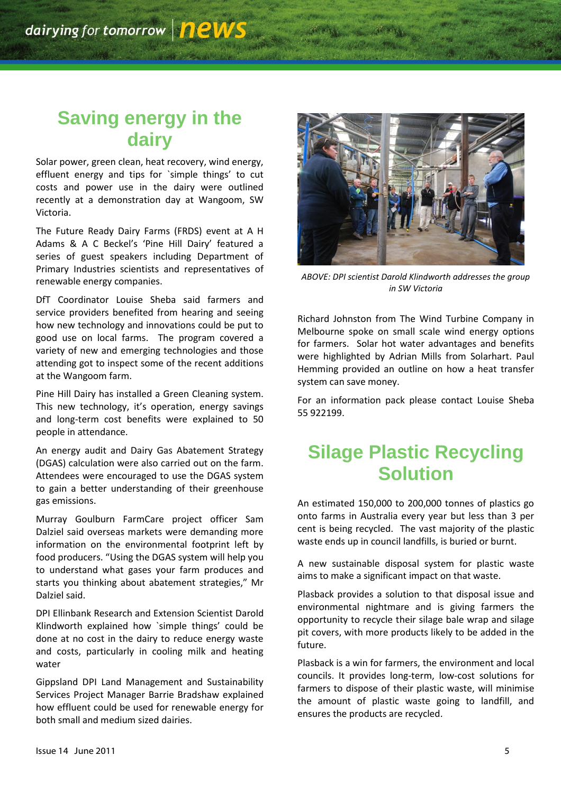# **Saving energy in the dairy**

Solar power, green clean, heat recovery, wind energy, effluent energy and tips for `simple things' to cut costs and power use in the dairy were outlined recently at a demonstration day at Wangoom, SW Victoria.

The Future Ready Dairy Farms (FRDS) event at A H Adams & A C Beckel's 'Pine Hill Dairy' featured a series of guest speakers including Department of Primary Industries scientists and representatives of renewable energy companies.

DfT Coordinator Louise Sheba said farmers and service providers benefited from hearing and seeing how new technology and innovations could be put to good use on local farms. The program covered a variety of new and emerging technologies and those attending got to inspect some of the recent additions at the Wangoom farm.

Pine Hill Dairy has installed a Green Cleaning system. This new technology, it's operation, energy savings and long-term cost benefits were explained to 50 people in attendance.

An energy audit and Dairy Gas Abatement Strategy (DGAS) calculation were also carried out on the farm. Attendees were encouraged to use the DGAS system to gain a better understanding of their greenhouse gas emissions.

Murray Goulburn FarmCare project officer Sam Dalziel said overseas markets were demanding more information on the environmental footprint left by food producers. "Using the DGAS system will help you to understand what gases your farm produces and starts you thinking about abatement strategies," Mr Dalziel said.

DPI Ellinbank Research and Extension Scientist Darold Klindworth explained how `simple things' could be done at no cost in the dairy to reduce energy waste and costs, particularly in cooling milk and heating water

Gippsland DPI Land Management and Sustainability Services Project Manager Barrie Bradshaw explained how effluent could be used for renewable energy for both small and medium sized dairies.



*ABOVE: DPI scientist Darold Klindworth addresses the group in SW Victoria*

Richard Johnston from The Wind Turbine Company in Melbourne spoke on small scale wind energy options for farmers. Solar hot water advantages and benefits were highlighted by Adrian Mills from Solarhart. Paul Hemming provided an outline on how a heat transfer system can save money.

For an information pack please contact Louise Sheba 55 922199.

## **Silage Plastic Recycling Solution**

An estimated 150,000 to 200,000 tonnes of plastics go onto farms in Australia every year but less than 3 per cent is being recycled. The vast majority of the plastic waste ends up in council landfills, is buried or burnt.

A new sustainable disposal system for plastic waste aims to make a significant impact on that waste.

Plasback provides a solution to that disposal issue and environmental nightmare and is giving farmers the opportunity to recycle their silage bale wrap and silage pit covers, with more products likely to be added in the future.

Plasback is a win for farmers, the environment and local councils. It provides long-term, low-cost solutions for farmers to dispose of their plastic waste, will minimise the amount of plastic waste going to landfill, and ensures the products are recycled.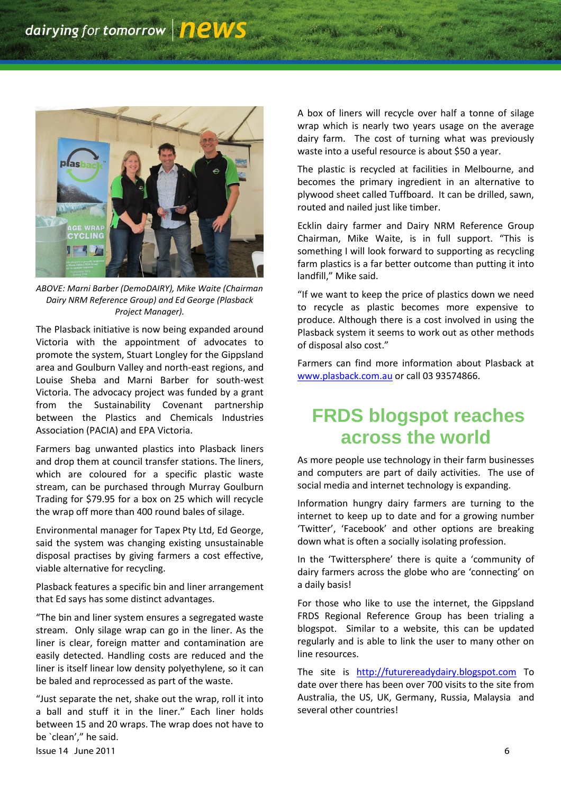

*ABOVE: Marni Barber (DemoDAIRY), Mike Waite (Chairman Dairy NRM Reference Group) and Ed George (Plasback Project Manager).*

The Plasback initiative is now being expanded around Victoria with the appointment of advocates to promote the system, Stuart Longley for the Gippsland area and Goulburn Valley and north-east regions, and Louise Sheba and Marni Barber for south-west Victoria. The advocacy project was funded by a grant from the Sustainability Covenant partnership between the Plastics and Chemicals Industries Association (PACIA) and EPA Victoria.

Farmers bag unwanted plastics into Plasback liners and drop them at council transfer stations. The liners, which are coloured for a specific plastic waste stream, can be purchased through Murray Goulburn Trading for \$79.95 for a box on 25 which will recycle the wrap off more than 400 round bales of silage.

Environmental manager for Tapex Pty Ltd, Ed George, said the system was changing existing unsustainable disposal practises by giving farmers a cost effective, viable alternative for recycling.

Plasback features a specific bin and liner arrangement that Ed says has some distinct advantages.

"The bin and liner system ensures a segregated waste stream. Only silage wrap can go in the liner. As the liner is clear, foreign matter and contamination are easily detected. Handling costs are reduced and the liner is itself linear low density polyethylene, so it can be baled and reprocessed as part of the waste.

 $\frac{1}{2}$  Issue 14 June 2011 6 "Just separate the net, shake out the wrap, roll it into a ball and stuff it in the liner." Each liner holds between 15 and 20 wraps. The wrap does not have to be `clean'," he said.

A box of liners will recycle over half a tonne of silage wrap which is nearly two years usage on the average dairy farm. The cost of turning what was previously waste into a useful resource is about \$50 a year.

The plastic is recycled at facilities in Melbourne, and becomes the primary ingredient in an alternative to plywood sheet called Tuffboard. It can be drilled, sawn, routed and nailed just like timber.

Ecklin dairy farmer and Dairy NRM Reference Group Chairman, Mike Waite, is in full support. "This is something I will look forward to supporting as recycling farm plastics is a far better outcome than putting it into landfill," Mike said.

"If we want to keep the price of plastics down we need to recycle as plastic becomes more expensive to produce. Although there is a cost involved in using the Plasback system it seems to work out as other methods of disposal also cost."

Farmers can find more information about Plasback at [www.plasback.com.au](http://www.plasback.com.au/) or call 03 93574866.

### **FRDS blogspot reaches across the world**

As more people use technology in their farm businesses and computers are part of daily activities. The use of social media and internet technology is expanding.

Information hungry dairy farmers are turning to the internet to keep up to date and for a growing number 'Twitter', 'Facebook' and other options are breaking down what is often a socially isolating profession.

In the 'Twittersphere' there is quite a 'community of dairy farmers across the globe who are 'connecting' on a daily basis!

For those who like to use the internet, the Gippsland FRDS Regional Reference Group has been trialing a blogspot. Similar to a website, this can be updated regularly and is able to link the user to many other on line resources.

The site is [http://futurereadydairy.blogspot.com](http://futurereadydairy.blogspot.com/) To date over there has been over 700 visits to the site from Australia, the US, UK, Germany, Russia, Malaysia and several other countries!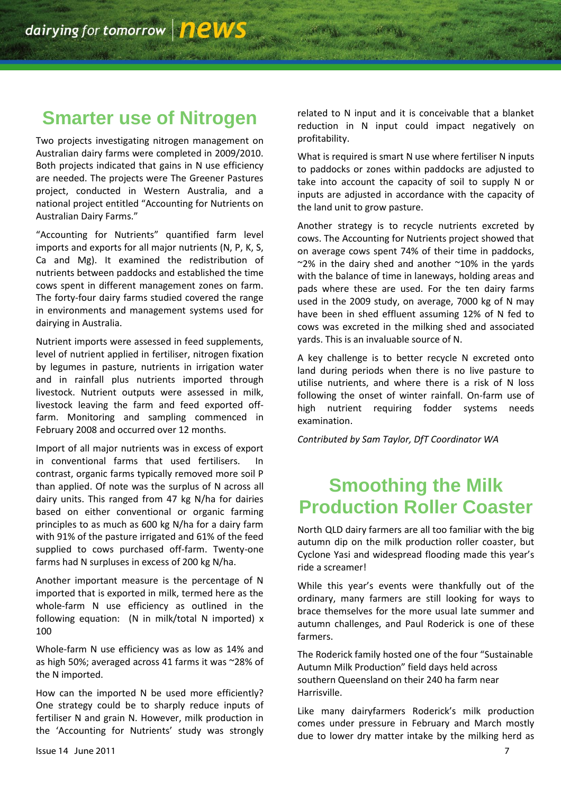### **Smarter use of Nitrogen**

Two projects investigating nitrogen management on Australian dairy farms were completed in 2009/2010. Both projects indicated that gains in N use efficiency are needed. The projects were The Greener Pastures project, conducted in Western Australia, and a national project entitled "Accounting for Nutrients on Australian Dairy Farms."

"Accounting for Nutrients" quantified farm level imports and exports for all major nutrients (N, P, K, S, Ca and Mg). It examined the redistribution of nutrients between paddocks and established the time cows spent in different management zones on farm. The forty-four dairy farms studied covered the range in environments and management systems used for dairying in Australia.

Nutrient imports were assessed in feed supplements, level of nutrient applied in fertiliser, nitrogen fixation by legumes in pasture, nutrients in irrigation water and in rainfall plus nutrients imported through livestock. Nutrient outputs were assessed in milk, livestock leaving the farm and feed exported offfarm. Monitoring and sampling commenced in February 2008 and occurred over 12 months.

Import of all major nutrients was in excess of export in conventional farms that used fertilisers. In contrast, organic farms typically removed more soil P than applied. Of note was the surplus of N across all dairy units. This ranged from 47 kg N/ha for dairies based on either conventional or organic farming principles to as much as 600 kg N/ha for a dairy farm with 91% of the pasture irrigated and 61% of the feed supplied to cows purchased off-farm. Twenty-one farms had N surpluses in excess of 200 kg N/ha.

Another important measure is the percentage of N imported that is exported in milk, termed here as the whole-farm N use efficiency as outlined in the following equation: (N in milk/total N imported) x 100

Whole-farm N use efficiency was as low as 14% and as high 50%; averaged across 41 farms it was ~28% of the N imported.

How can the imported N be used more efficiently? One strategy could be to sharply reduce inputs of fertiliser N and grain N. However, milk production in the 'Accounting for Nutrients' study was strongly related to N input and it is conceivable that a blanket reduction in N input could impact negatively on profitability.

What is required is smart N use where fertiliser N inputs to paddocks or zones within paddocks are adjusted to take into account the capacity of soil to supply N or inputs are adjusted in accordance with the capacity of the land unit to grow pasture.

Another strategy is to recycle nutrients excreted by cows. The Accounting for Nutrients project showed that on average cows spent 74% of their time in paddocks,  $\approx$ 2% in the dairy shed and another  $\approx$ 10% in the yards with the balance of time in laneways, holding areas and pads where these are used. For the ten dairy farms used in the 2009 study, on average, 7000 kg of N may have been in shed effluent assuming 12% of N fed to cows was excreted in the milking shed and associated yards. This is an invaluable source of N.

A key challenge is to better recycle N excreted onto land during periods when there is no live pasture to utilise nutrients, and where there is a risk of N loss following the onset of winter rainfall. On-farm use of high nutrient requiring fodder systems needs examination.

*Contributed by Sam Taylor, DfT Coordinator WA*

# **Smoothing the Milk Production Roller Coaster**

North QLD dairy farmers are all too familiar with the big autumn dip on the milk production roller coaster, but Cyclone Yasi and widespread flooding made this year's ride a screamer!

While this year's events were thankfully out of the ordinary, many farmers are still looking for ways to brace themselves for the more usual late summer and autumn challenges, and Paul Roderick is one of these farmers.

The Roderick family hosted one of the four "Sustainable Autumn Milk Production" field days held across southern Queensland on their 240 ha farm near Harrisville.

Like many dairyfarmers Roderick's milk production comes under pressure in February and March mostly due to lower dry matter intake by the milking herd as